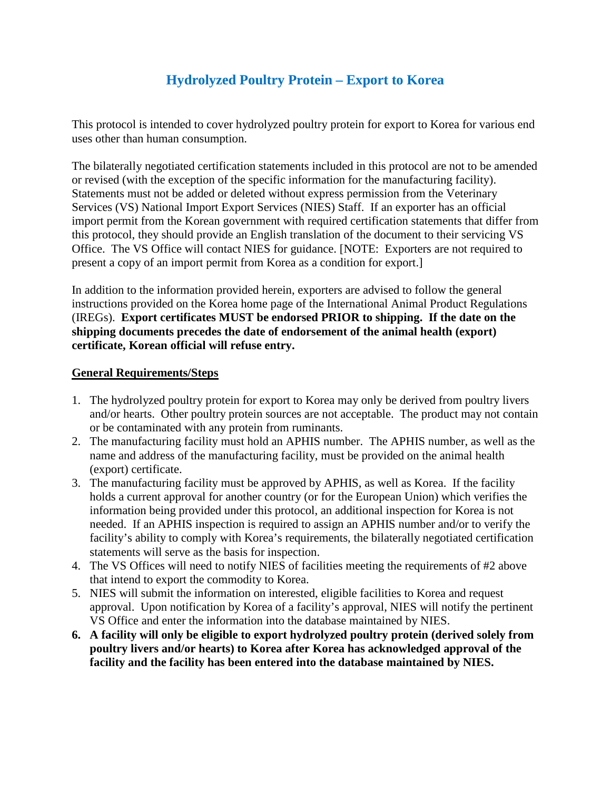## **Hydrolyzed Poultry Protein – Export to Korea**

This protocol is intended to cover hydrolyzed poultry protein for export to Korea for various end uses other than human consumption.

The bilaterally negotiated certification statements included in this protocol are not to be amended or revised (with the exception of the specific information for the manufacturing facility). Statements must not be added or deleted without express permission from the Veterinary Services (VS) National Import Export Services (NIES) Staff. If an exporter has an official import permit from the Korean government with required certification statements that differ from this protocol, they should provide an English translation of the document to their servicing VS Office. The VS Office will contact NIES for guidance. [NOTE: Exporters are not required to present a copy of an import permit from Korea as a condition for export.]

In addition to the information provided herein, exporters are advised to follow the general instructions provided on the Korea home page of the International Animal Product Regulations (IREGs). **Export certificates MUST be endorsed PRIOR to shipping. If the date on the shipping documents precedes the date of endorsement of the animal health (export) certificate, Korean official will refuse entry.**

## **General Requirements/Steps**

- 1. The hydrolyzed poultry protein for export to Korea may only be derived from poultry livers and/or hearts. Other poultry protein sources are not acceptable. The product may not contain or be contaminated with any protein from ruminants.
- 2. The manufacturing facility must hold an APHIS number. The APHIS number, as well as the name and address of the manufacturing facility, must be provided on the animal health (export) certificate.
- 3. The manufacturing facility must be approved by APHIS, as well as Korea. If the facility holds a current approval for another country (or for the European Union) which verifies the information being provided under this protocol, an additional inspection for Korea is not needed. If an APHIS inspection is required to assign an APHIS number and/or to verify the facility's ability to comply with Korea's requirements, the bilaterally negotiated certification statements will serve as the basis for inspection.
- 4. The VS Offices will need to notify NIES of facilities meeting the requirements of #2 above that intend to export the commodity to Korea.
- 5. NIES will submit the information on interested, eligible facilities to Korea and request approval. Upon notification by Korea of a facility's approval, NIES will notify the pertinent VS Office and enter the information into the database maintained by NIES.
- **6. A facility will only be eligible to export hydrolyzed poultry protein (derived solely from poultry livers and/or hearts) to Korea after Korea has acknowledged approval of the facility and the facility has been entered into the database maintained by NIES.**